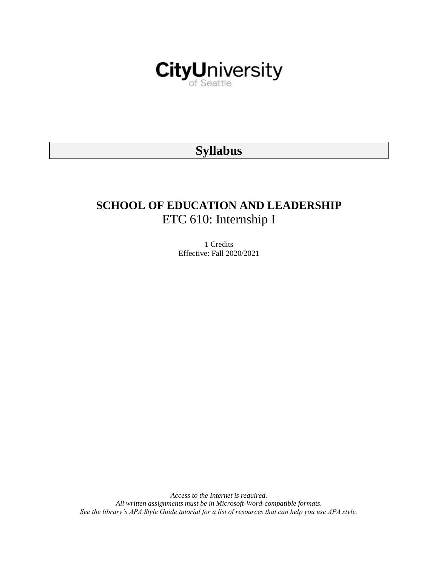

# **Syllabus**

# **SCHOOL OF EDUCATION AND LEADERSHIP** ETC 610: Internship I

1 Credits Effective: Fall 2020/2021

*Access to the Internet is required. All written assignments must be in Microsoft-Word-compatible formats. See the library's APA Style Guide tutorial for a list of resources that can help you use APA style.*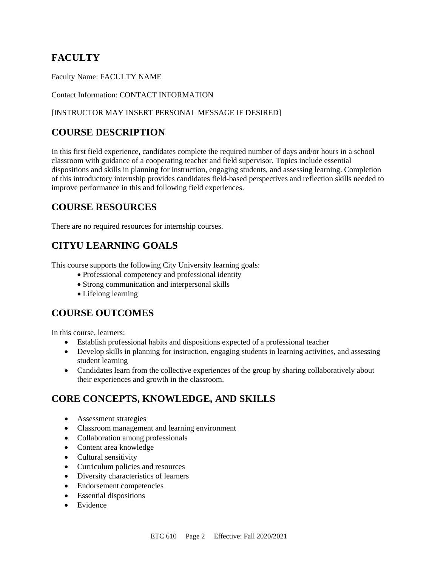# **FACULTY**

Faculty Name: FACULTY NAME

Contact Information: CONTACT INFORMATION

#### [INSTRUCTOR MAY INSERT PERSONAL MESSAGE IF DESIRED]

## **COURSE DESCRIPTION**

In this first field experience, candidates complete the required number of days and/or hours in a school classroom with guidance of a cooperating teacher and field supervisor. Topics include essential dispositions and skills in planning for instruction, engaging students, and assessing learning. Completion of this introductory internship provides candidates field-based perspectives and reflection skills needed to improve performance in this and following field experiences.

### **COURSE RESOURCES**

There are no required resources for internship courses.

## **CITYU LEARNING GOALS**

This course supports the following City University learning goals:

- Professional competency and professional identity
- Strong communication and interpersonal skills
- Lifelong learning

## **COURSE OUTCOMES**

In this course, learners:

- Establish professional habits and dispositions expected of a professional teacher
- Develop skills in planning for instruction, engaging students in learning activities, and assessing student learning
- Candidates learn from the collective experiences of the group by sharing collaboratively about their experiences and growth in the classroom.

# **CORE CONCEPTS, KNOWLEDGE, AND SKILLS**

- Assessment strategies
- Classroom management and learning environment
- Collaboration among professionals
- Content area knowledge
- Cultural sensitivity
- Curriculum policies and resources
- Diversity characteristics of learners
- Endorsement competencies
- Essential dispositions
- Evidence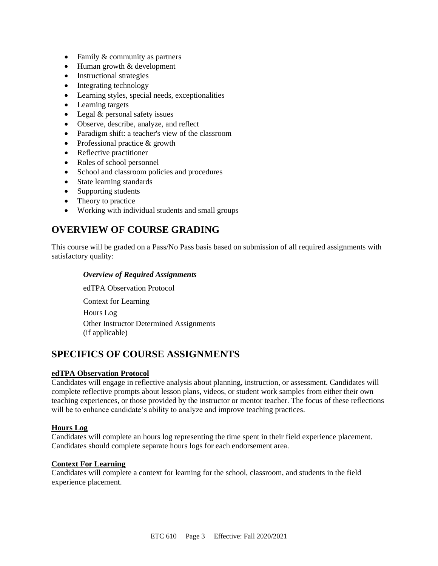- Family & community as partners
- Human growth & development
- Instructional strategies
- Integrating technology
- Learning styles, special needs, exceptionalities
- Learning targets
- Legal & personal safety issues
- Observe, describe, analyze, and reflect
- Paradigm shift: a teacher's view of the classroom
- Professional practice & growth
- Reflective practitioner
- Roles of school personnel
- School and classroom policies and procedures
- State learning standards
- Supporting students
- Theory to practice
- Working with individual students and small groups

## **OVERVIEW OF COURSE GRADING**

This course will be graded on a Pass/No Pass basis based on submission of all required assignments with satisfactory quality:

#### *Overview of Required Assignments*

edTPA Observation Protocol Context for Learning Hours Log Other Instructor Determined Assignments

(if applicable)

### **SPECIFICS OF COURSE ASSIGNMENTS**

#### **edTPA Observation Protocol**

Candidates will engage in reflective analysis about planning, instruction, or assessment. Candidates will complete reflective prompts about lesson plans, videos, or student work samples from either their own teaching experiences, or those provided by the instructor or mentor teacher. The focus of these reflections will be to enhance candidate's ability to analyze and improve teaching practices.

#### **Hours Log**

Candidates will complete an hours log representing the time spent in their field experience placement. Candidates should complete separate hours logs for each endorsement area.

#### **Context For Learning**

Candidates will complete a context for learning for the school, classroom, and students in the field experience placement.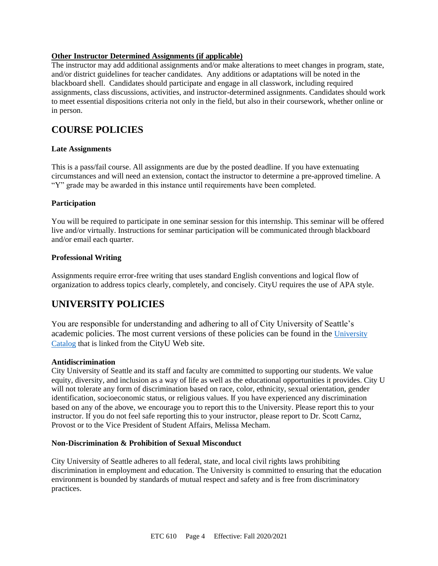#### **Other Instructor Determined Assignments (if applicable)**

The instructor may add additional assignments and/or make alterations to meet changes in program, state, and/or district guidelines for teacher candidates. Any additions or adaptations will be noted in the blackboard shell. Candidates should participate and engage in all classwork, including required assignments, class discussions, activities, and instructor-determined assignments. Candidates should work to meet essential dispositions criteria not only in the field, but also in their coursework, whether online or in person.

### **COURSE POLICIES**

#### **Late Assignments**

This is a pass/fail course. All assignments are due by the posted deadline. If you have extenuating circumstances and will need an extension, contact the instructor to determine a pre-approved timeline. A "Y" grade may be awarded in this instance until requirements have been completed.

#### **Participation**

You will be required to participate in one seminar session for this internship. This seminar will be offered live and/or virtually. Instructions for seminar participation will be communicated through blackboard and/or email each quarter.

#### **Professional Writing**

Assignments require error-free writing that uses standard English conventions and logical flow of organization to address topics clearly, completely, and concisely. CityU requires the use of APA style.

## **UNIVERSITY POLICIES**

You are responsible for understanding and adhering to all of City University of Seattle's academic policies. The most current versions of these policies can be found in the [University](https://www.cityu.edu/catalog/)  [Catalog](https://www.cityu.edu/catalog/) that is linked from the CityU Web site.

#### **Antidiscrimination**

City University of Seattle and its staff and faculty are committed to supporting our students. We value equity, diversity, and inclusion as a way of life as well as the educational opportunities it provides. City U will not tolerate any form of discrimination based on race, color, ethnicity, sexual orientation, gender identification, socioeconomic status, or religious values. If you have experienced any discrimination based on any of the above, we encourage you to report this to the University. Please report this to your instructor. If you do not feel safe reporting this to your instructor, please report to Dr. Scott Carnz, Provost or to the Vice President of Student Affairs, Melissa Mecham.

#### **Non-Discrimination & Prohibition of Sexual Misconduct**

City University of Seattle adheres to all federal, state, and local civil rights laws prohibiting discrimination in employment and education. The University is committed to ensuring that the education environment is bounded by standards of mutual respect and safety and is free from discriminatory practices.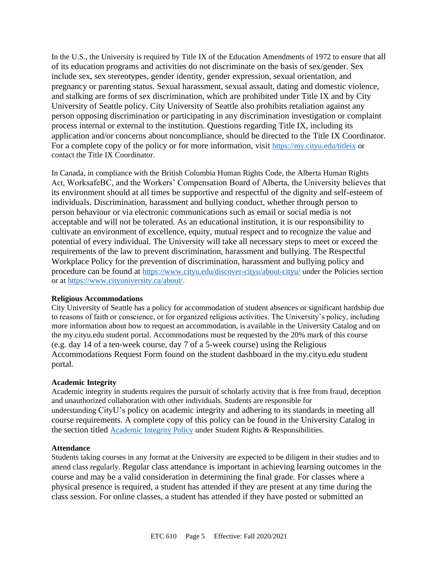In the U.S., the University is required by Title IX of the Education Amendments of 1972 to ensure that all of its education programs and activities do not discriminate on the basis of sex/gender. Sex include sex, sex stereotypes, gender identity, gender expression, sexual orientation, and pregnancy or parenting status. Sexual harassment, sexual assault, dating and domestic violence, and stalking are forms of sex discrimination, which are prohibited under Title IX and by City University of Seattle policy. City University of Seattle also prohibits retaliation against any person opposing discrimination or participating in any discrimination investigation or complaint process internal or external to the institution. Questions regarding Title IX, including its application and/or concerns about noncompliance, should be directed to the Title IX Coordinator. For a complete copy of the policy or for more information, visit <https://my.cityu.edu/titleix> or contact the Title IX Coordinator.

In Canada, in compliance with the British Columbia Human Rights Code, the Alberta Human Rights Act, WorksafeBC, and the Workers' Compensation Board of Alberta, the University believes that its environment should at all times be supportive and respectful of the dignity and self-esteem of individuals. Discrimination, harassment and bullying conduct, whether through person to person behaviour or via electronic communications such as email or social media is not acceptable and will not be tolerated. As an educational institution, it is our responsibility to cultivate an environment of excellence, equity, mutual respect and to recognize the value and potential of every individual. The University will take all necessary steps to meet or exceed the requirements of the law to prevent discrimination, harassment and bullying. The Respectful Workplace Policy for the prevention of discrimination, harassment and bullying policy and procedure can be found at <https://www.cityu.edu/discover-cityu/about-cityu/> under the Policies section or at <https://www.cityuniversity.ca/about/>.

#### **Religious Accommodations**

City University of Seattle has a policy for accommodation of student absences or significant hardship due to reasons of faith or conscience, or for organized religious activities. The University's policy, including more information about how to request an accommodation, is available in the University Catalog and on the my.cityu.edu student portal. Accommodations must be requested by the 20% mark of this course (e.g. day 14 of a ten-week course, day 7 of a 5-week course) using the Religious Accommodations Request Form found on the student dashboard in the my.cityu.edu student portal.

#### **Academic Integrity**

Academic integrity in students requires the pursuit of scholarly activity that is free from fraud, deception and unauthorized collaboration with other individuals. Students are responsible for understanding CityU's policy on academic integrity and adhering to its standards in meeting all course requirements. A complete copy of this policy can be found in the University Catalog in the section titled [Academic Integrity Policy](https://www.cityu.edu/catalog/;) under Student Rights & Responsibilities.

#### **Attendance**

Students taking courses in any format at the University are expected to be diligent in their studies and to attend class regularly. Regular class attendance is important in achieving learning outcomes in the course and may be a valid consideration in determining the final grade. For classes where a physical presence is required, a student has attended if they are present at any time during the class session. For online classes, a student has attended if they have posted or submitted an